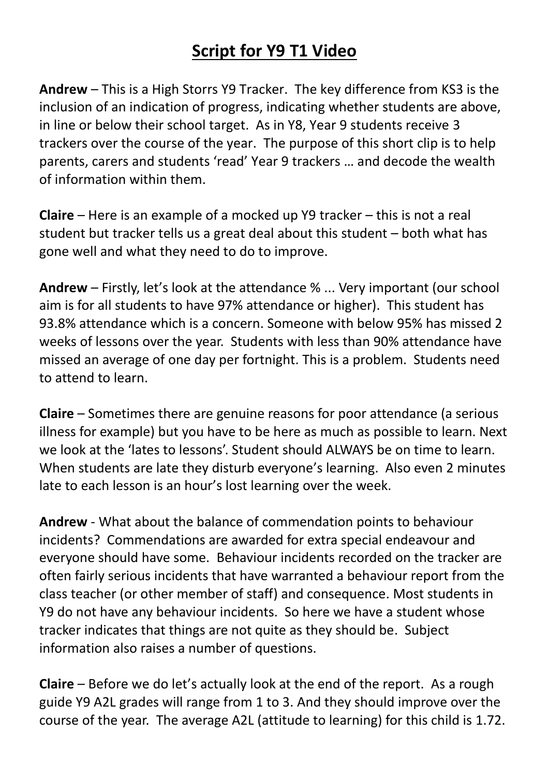## **Script for Y9 T1 Video**

**Andrew** – This is a High Storrs Y9 Tracker. The key difference from KS3 is the inclusion of an indication of progress, indicating whether students are above, in line or below their school target. As in Y8, Year 9 students receive 3 trackers over the course of the year. The purpose of this short clip is to help parents, carers and students 'read' Year 9 trackers … and decode the wealth of information within them.

**Claire** – Here is an example of a mocked up Y9 tracker – this is not a real student but tracker tells us a great deal about this student – both what has gone well and what they need to do to improve.

**Andrew** – Firstly, let's look at the attendance % ... Very important (our school aim is for all students to have 97% attendance or higher). This student has 93.8% attendance which is a concern. Someone with below 95% has missed 2 weeks of lessons over the year. Students with less than 90% attendance have missed an average of one day per fortnight. This is a problem. Students need to attend to learn.

**Claire** – Sometimes there are genuine reasons for poor attendance (a serious illness for example) but you have to be here as much as possible to learn. Next we look at the 'lates to lessons'. Student should ALWAYS be on time to learn. When students are late they disturb everyone's learning. Also even 2 minutes late to each lesson is an hour's lost learning over the week.

**Andrew** - What about the balance of commendation points to behaviour incidents? Commendations are awarded for extra special endeavour and everyone should have some. Behaviour incidents recorded on the tracker are often fairly serious incidents that have warranted a behaviour report from the class teacher (or other member of staff) and consequence. Most students in Y9 do not have any behaviour incidents. So here we have a student whose tracker indicates that things are not quite as they should be. Subject information also raises a number of questions.

**Claire** – Before we do let's actually look at the end of the report. As a rough guide Y9 A2L grades will range from 1 to 3. And they should improve over the course of the year. The average A2L (attitude to learning) for this child is 1.72.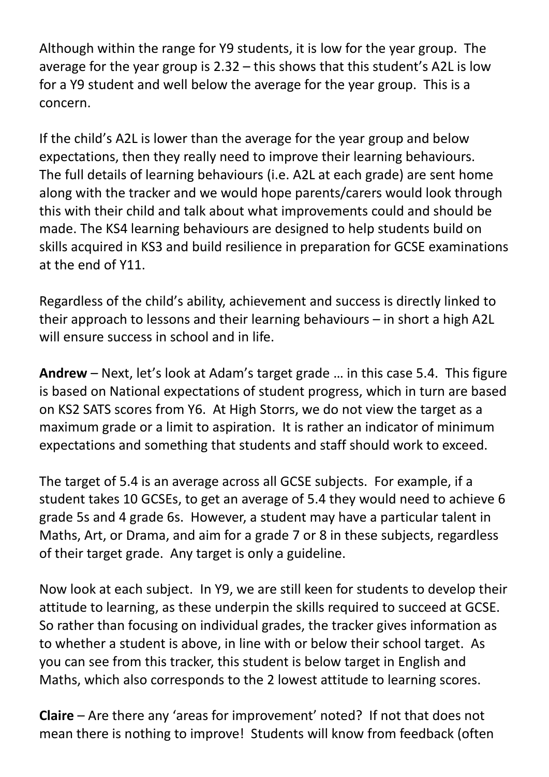Although within the range for Y9 students, it is low for the year group. The average for the year group is 2.32 – this shows that this student's A2L is low for a Y9 student and well below the average for the year group. This is a concern.

If the child's A2L is lower than the average for the year group and below expectations, then they really need to improve their learning behaviours. The full details of learning behaviours (i.e. A2L at each grade) are sent home along with the tracker and we would hope parents/carers would look through this with their child and talk about what improvements could and should be made. The KS4 learning behaviours are designed to help students build on skills acquired in KS3 and build resilience in preparation for GCSE examinations at the end of Y11.

Regardless of the child's ability, achievement and success is directly linked to their approach to lessons and their learning behaviours – in short a high A2L will ensure success in school and in life.

**Andrew** – Next, let's look at Adam's target grade … in this case 5.4. This figure is based on National expectations of student progress, which in turn are based on KS2 SATS scores from Y6. At High Storrs, we do not view the target as a maximum grade or a limit to aspiration. It is rather an indicator of minimum expectations and something that students and staff should work to exceed.

The target of 5.4 is an average across all GCSE subjects. For example, if a student takes 10 GCSEs, to get an average of 5.4 they would need to achieve 6 grade 5s and 4 grade 6s. However, a student may have a particular talent in Maths, Art, or Drama, and aim for a grade 7 or 8 in these subjects, regardless of their target grade. Any target is only a guideline.

Now look at each subject. In Y9, we are still keen for students to develop their attitude to learning, as these underpin the skills required to succeed at GCSE. So rather than focusing on individual grades, the tracker gives information as to whether a student is above, in line with or below their school target. As you can see from this tracker, this student is below target in English and Maths, which also corresponds to the 2 lowest attitude to learning scores.

**Claire** – Are there any 'areas for improvement' noted? If not that does not mean there is nothing to improve! Students will know from feedback (often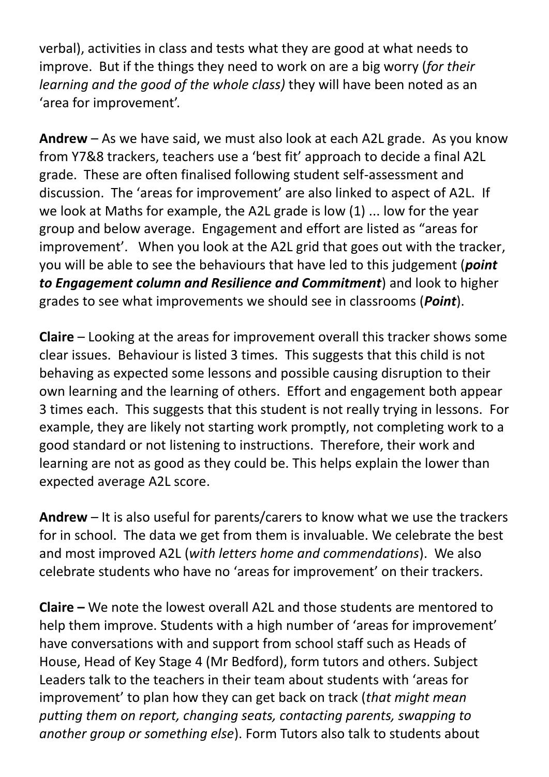verbal), activities in class and tests what they are good at what needs to improve. But if the things they need to work on are a big worry (*for their learning and the good of the whole class)* they will have been noted as an 'area for improvement'.

**Andrew** – As we have said, we must also look at each A2L grade. As you know from Y7&8 trackers, teachers use a 'best fit' approach to decide a final A2L grade. These are often finalised following student self-assessment and discussion. The 'areas for improvement' are also linked to aspect of A2L. If we look at Maths for example, the A2L grade is low (1) ... low for the year group and below average. Engagement and effort are listed as "areas for improvement'. When you look at the A2L grid that goes out with the tracker, you will be able to see the behaviours that have led to this judgement (*point to Engagement column and Resilience and Commitment*) and look to higher grades to see what improvements we should see in classrooms (*Point*).

**Claire** – Looking at the areas for improvement overall this tracker shows some clear issues. Behaviour is listed 3 times. This suggests that this child is not behaving as expected some lessons and possible causing disruption to their own learning and the learning of others. Effort and engagement both appear 3 times each. This suggests that this student is not really trying in lessons. For example, they are likely not starting work promptly, not completing work to a good standard or not listening to instructions. Therefore, their work and learning are not as good as they could be. This helps explain the lower than expected average A2L score.

**Andrew** – It is also useful for parents/carers to know what we use the trackers for in school. The data we get from them is invaluable. We celebrate the best and most improved A2L (*with letters home and commendations*). We also celebrate students who have no 'areas for improvement' on their trackers.

**Claire –** We note the lowest overall A2L and those students are mentored to help them improve. Students with a high number of 'areas for improvement' have conversations with and support from school staff such as Heads of House, Head of Key Stage 4 (Mr Bedford), form tutors and others. Subject Leaders talk to the teachers in their team about students with 'areas for improvement' to plan how they can get back on track (*that might mean putting them on report, changing seats, contacting parents, swapping to another group or something else*). Form Tutors also talk to students about